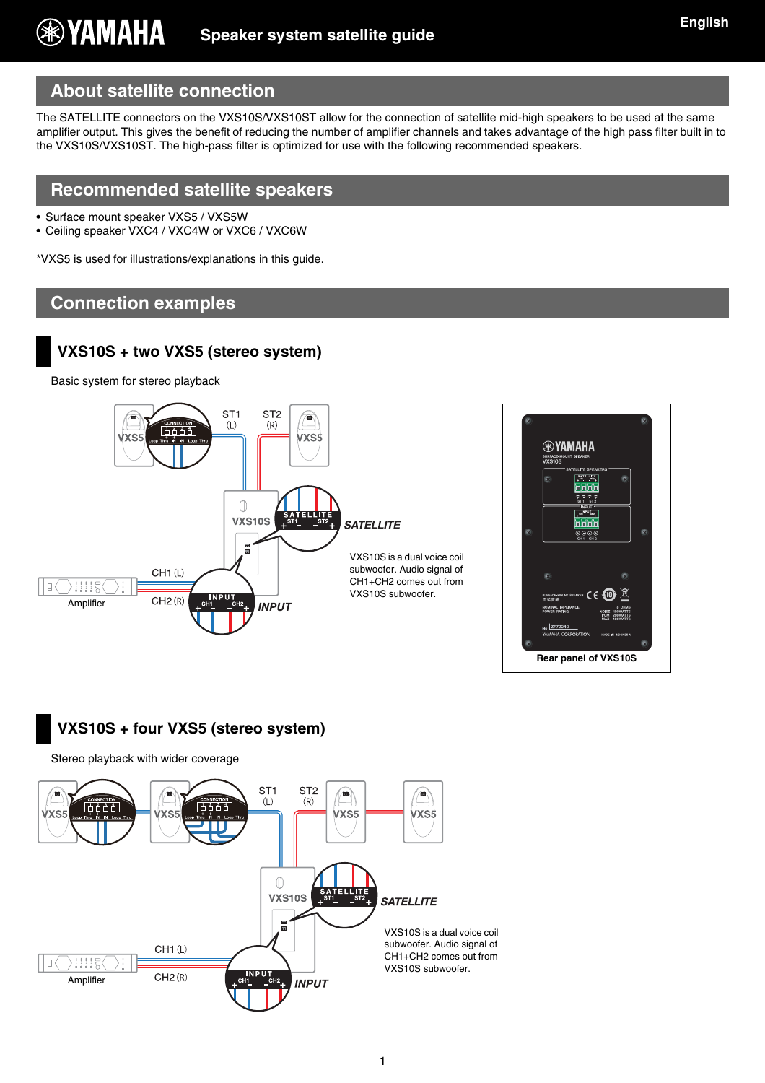# **About satellite connection**

The SATELLITE connectors on the VXS10S/VXS10ST allow for the connection of satellite mid-high speakers to be used at the same amplifier output. This gives the benefit of reducing the number of amplifier channels and takes advantage of the high pass filter built in to the VXS10S/VXS10ST. The high-pass filter is optimized for use with the following recommended speakers.

## **Recommended satellite speakers**

- Surface mount speaker VXS5 / VXS5W
- Ceiling speaker VXC4 / VXC4W or VXC6 / VXC6W

\*VXS5 is used for illustrations/explanations in this guide.

#### **Connection examples**

## **VXS10S + two VXS5 (stereo system)**

Basic system for stereo playback





## **VXS10S + four VXS5 (stereo system)**

Stereo playback with wider coverage